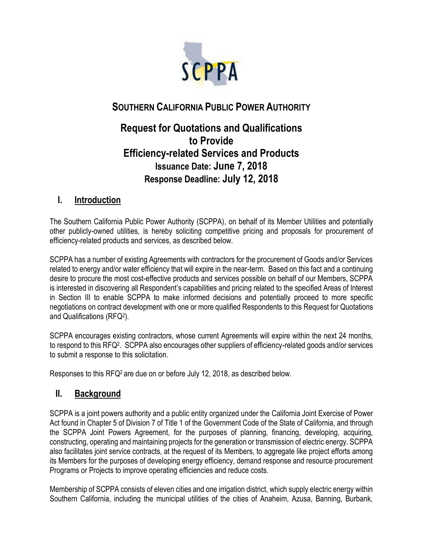

# **SOUTHERN CALIFORNIA PUBLIC POWER AUTHORITY**

# **Request for Quotations and Qualifications to Provide Efficiency-related Services and Products Issuance Date: June 7, 2018 Response Deadline: July 12, 2018**

# **I. Introduction**

The Southern California Public Power Authority (SCPPA), on behalf of its Member Utilities and potentially other publicly-owned utilities, is hereby soliciting competitive pricing and proposals for procurement of efficiency-related products and services, as described below.

SCPPA has a number of existing Agreements with contractors for the procurement of Goods and/or Services related to energy and/or water efficiency that will expire in the near-term. Based on this fact and a continuing desire to procure the most cost-effective products and services possible on behalf of our Members, SCPPA is interested in discovering all Respondent's capabilities and pricing related to the specified Areas of Interest in Section III to enable SCPPA to make informed decisions and potentially proceed to more specific negotiations on contract development with one or more qualified Respondents to this Request for Quotations and Qualifications (RFQ<sup>2</sup> ).

SCPPA encourages existing contractors, whose current Agreements will expire within the next 24 months, to respond to this RFQ<sup>2</sup> . SCPPA also encourages other suppliers of efficiency-related goods and/or services to submit a response to this solicitation.

Responses to this RFQ2 are due on or before July 12, 2018, as described below.

# **II. Background**

SCPPA is a joint powers authority and a public entity organized under the California Joint Exercise of Power Act found in Chapter 5 of Division 7 of Title 1 of the Government Code of the State of California, and through the SCPPA Joint Powers Agreement, for the purposes of planning, financing, developing, acquiring, constructing, operating and maintaining projects for the generation or transmission of electric energy. SCPPA also facilitates joint service contracts, at the request of its Members, to aggregate like project efforts among its Members for the purposes of developing energy efficiency, demand response and resource procurement Programs or Projects to improve operating efficiencies and reduce costs.

Membership of SCPPA consists of eleven cities and one irrigation district, which supply electric energy within Southern California, including the municipal utilities of the cities of Anaheim, Azusa, Banning, Burbank,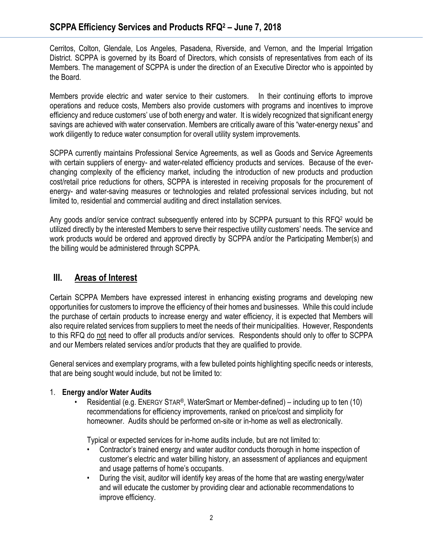Cerritos, Colton, Glendale, Los Angeles, Pasadena, Riverside, and Vernon, and the Imperial Irrigation District. SCPPA is governed by its Board of Directors, which consists of representatives from each of its Members. The management of SCPPA is under the direction of an Executive Director who is appointed by the Board.

Members provide electric and water service to their customers. In their continuing efforts to improve operations and reduce costs, Members also provide customers with programs and incentives to improve efficiency and reduce customers' use of both energy and water. It is widely recognized that significant energy savings are achieved with water conservation. Members are critically aware of this "water-energy nexus" and work diligently to reduce water consumption for overall utility system improvements.

SCPPA currently maintains Professional Service Agreements, as well as Goods and Service Agreements with certain suppliers of energy- and water-related efficiency products and services. Because of the everchanging complexity of the efficiency market, including the introduction of new products and production cost/retail price reductions for others, SCPPA is interested in receiving proposals for the procurement of energy- and water-saving measures or technologies and related professional services including, but not limited to, residential and commercial auditing and direct installation services.

Any goods and/or service contract subsequently entered into by SCPPA pursuant to this RFQ<sup>2</sup> would be utilized directly by the interested Members to serve their respective utility customers' needs. The service and work products would be ordered and approved directly by SCPPA and/or the Participating Member(s) and the billing would be administered through SCPPA.

# **III. Areas of Interest**

Certain SCPPA Members have expressed interest in enhancing existing programs and developing new opportunities for customers to improve the efficiency of their homes and businesses. While this could include the purchase of certain products to increase energy and water efficiency, it is expected that Members will also require related services from suppliers to meet the needs of their municipalities. However, Respondents to this RFQ do not need to offer all products and/or services. Respondents should only to offer to SCPPA and our Members related services and/or products that they are qualified to provide.

General services and exemplary programs, with a few bulleted points highlighting specific needs or interests, that are being sought would include, but not be limited to:

## 1. **Energy and/or Water Audits**

• Residential (e.g. ENERGY STAR®, WaterSmart or Member-defined) – including up to ten (10) recommendations for efficiency improvements, ranked on price/cost and simplicity for homeowner. Audits should be performed on-site or in-home as well as electronically.

Typical or expected services for in-home audits include, but are not limited to:

- Contractor's trained energy and water auditor conducts thorough in home inspection of customer's electric and water billing history, an assessment of appliances and equipment and usage patterns of home's occupants.
- During the visit, auditor will identify key areas of the home that are wasting energy/water and will educate the customer by providing clear and actionable recommendations to improve efficiency.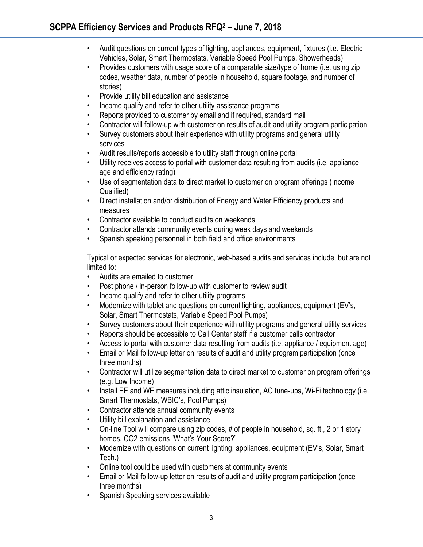- Audit questions on current types of lighting, appliances, equipment, fixtures (i.e. Electric Vehicles, Solar, Smart Thermostats, Variable Speed Pool Pumps, Showerheads)
- Provides customers with usage score of a comparable size/type of home (i.e. using zip codes, weather data, number of people in household, square footage, and number of stories)
- Provide utility bill education and assistance
- Income qualify and refer to other utility assistance programs
- Reports provided to customer by email and if required, standard mail
- Contractor will follow-up with customer on results of audit and utility program participation
- Survey customers about their experience with utility programs and general utility services
- Audit results/reports accessible to utility staff through online portal
- Utility receives access to portal with customer data resulting from audits (i.e. appliance age and efficiency rating)
- Use of segmentation data to direct market to customer on program offerings (Income Qualified)
- Direct installation and/or distribution of Energy and Water Efficiency products and measures
- Contractor available to conduct audits on weekends
- Contractor attends community events during week days and weekends
- Spanish speaking personnel in both field and office environments

Typical or expected services for electronic, web-based audits and services include, but are not limited to:

- Audits are emailed to customer
- Post phone / in-person follow-up with customer to review audit
- Income qualify and refer to other utility programs
- Modernize with tablet and questions on current lighting, appliances, equipment (EV's, Solar, Smart Thermostats, Variable Speed Pool Pumps)
- Survey customers about their experience with utility programs and general utility services
- Reports should be accessible to Call Center staff if a customer calls contractor
- Access to portal with customer data resulting from audits (i.e. appliance / equipment age)
- Email or Mail follow-up letter on results of audit and utility program participation (once three months)
- Contractor will utilize segmentation data to direct market to customer on program offerings (e.g. Low Income)
- Install EE and WE measures including attic insulation, AC tune-ups, Wi-Fi technology (i.e. Smart Thermostats, WBIC's, Pool Pumps)
- Contractor attends annual community events
- Utility bill explanation and assistance
- On-line Tool will compare using zip codes, # of people in household, sq. ft., 2 or 1 story homes, CO2 emissions "What's Your Score?"
- Modernize with questions on current lighting, appliances, equipment (EV's, Solar, Smart Tech.)
- Online tool could be used with customers at community events
- Email or Mail follow-up letter on results of audit and utility program participation (once three months)
- Spanish Speaking services available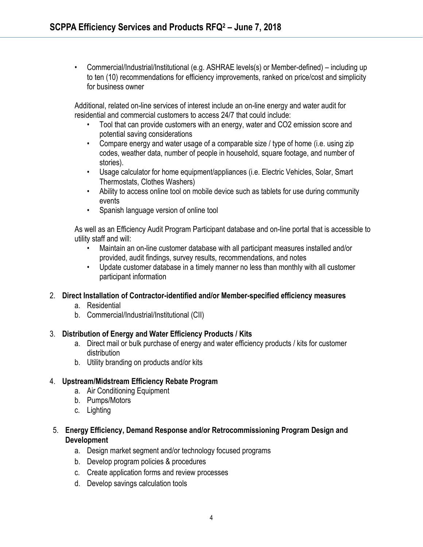• Commercial/Industrial/Institutional (e.g. ASHRAE levels(s) or Member-defined) – including up to ten (10) recommendations for efficiency improvements, ranked on price/cost and simplicity for business owner

Additional, related on-line services of interest include an on-line energy and water audit for residential and commercial customers to access 24/7 that could include:

- Tool that can provide customers with an energy, water and CO2 emission score and potential saving considerations
- Compare energy and water usage of a comparable size / type of home (i.e. using zip codes, weather data, number of people in household, square footage, and number of stories).
- Usage calculator for home equipment/appliances (i.e. Electric Vehicles, Solar, Smart Thermostats, Clothes Washers)
- Ability to access online tool on mobile device such as tablets for use during community events
- Spanish language version of online tool

As well as an Efficiency Audit Program Participant database and on-line portal that is accessible to utility staff and will:

- Maintain an on-line customer database with all participant measures installed and/or provided, audit findings, survey results, recommendations, and notes
- Update customer database in a timely manner no less than monthly with all customer participant information

## 2. **Direct Installation of Contractor-identified and/or Member-specified efficiency measures**

- a. Residential
- b. Commercial/Industrial/Institutional (CII)

#### 3. **Distribution of Energy and Water Efficiency Products / Kits**

- a. Direct mail or bulk purchase of energy and water efficiency products / kits for customer distribution
- b. Utility branding on products and/or kits

## 4. **Upstream/Midstream Efficiency Rebate Program**

- a. Air Conditioning Equipment
- b. Pumps/Motors
- c. Lighting
- 5. **Energy Efficiency, Demand Response and/or Retrocommissioning Program Design and Development**
	- a. Design market segment and/or technology focused programs
	- b. Develop program policies & procedures
	- c. Create application forms and review processes
	- d. Develop savings calculation tools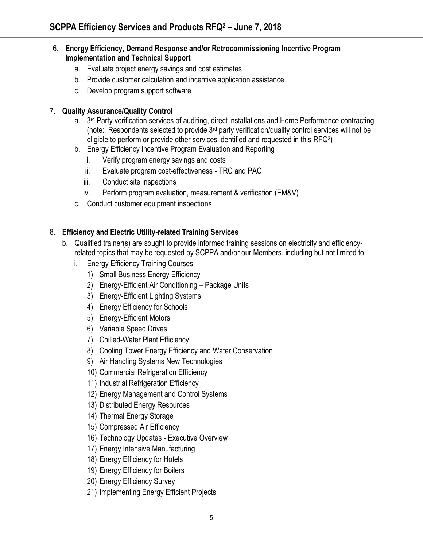#### 6. **Energy Efficiency, Demand Response and/or Retrocommissioning Incentive Program Implementation and Technical Support**

- a. Evaluate project energy savings and cost estimates
- b. Provide customer calculation and incentive application assistance
- c. Develop program support software

#### 7. **Quality Assurance/Quality Control**

- a. 3<sup>rd</sup> Party verification services of auditing, direct installations and Home Performance contracting (note: Respondents selected to provide 3rd party verification/quality control services will not be eligible to perform or provide other services identified and requested in this RFQ<sup>2</sup> )
- b. Energy Efficiency Incentive Program Evaluation and Reporting
	- i. Verify program energy savings and costs
	- ii. Evaluate program cost-effectiveness TRC and PAC
	- iii. Conduct site inspections
	- iv. Perform program evaluation, measurement & verification (EM&V)
- c. Conduct customer equipment inspections

## 8. **Efficiency and Electric Utility-related Training Services**

- b. Qualified trainer(s) are sought to provide informed training sessions on electricity and efficiencyrelated topics that may be requested by SCPPA and/or our Members, including but not limited to:
	- i. Energy Efficiency Training Courses
		- 1) Small Business Energy Efficiency
		- 2) Energy-Efficient Air Conditioning Package Units
		- 3) Energy-Efficient Lighting Systems
		- 4) Energy Efficiency for Schools
		- 5) Energy-Efficient Motors
		- 6) Variable Speed Drives
		- 7) Chilled-Water Plant Efficiency
		- 8) Cooling Tower Energy Efficiency and Water Conservation
		- 9) Air Handling Systems New Technologies
		- 10) Commercial Refrigeration Efficiency
		- 11) Industrial Refrigeration Efficiency
		- 12) Energy Management and Control Systems
		- 13) Distributed Energy Resources
		- 14) Thermal Energy Storage
		- 15) Compressed Air Efficiency
		- 16) Technology Updates Executive Overview
		- 17) Energy Intensive Manufacturing
		- 18) Energy Efficiency for Hotels
		- 19) Energy Efficiency for Boilers
		- 20) Energy Efficiency Survey
		- 21) Implementing Energy Efficient Projects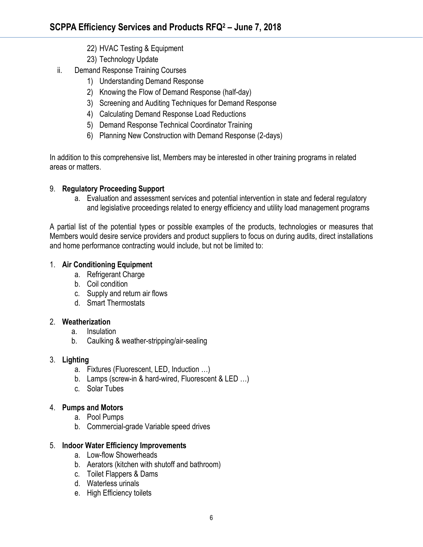- 22) HVAC Testing & Equipment
- 23) Technology Update
- ii. Demand Response Training Courses
	- 1) Understanding Demand Response
	- 2) Knowing the Flow of Demand Response (half-day)
	- 3) Screening and Auditing Techniques for Demand Response
	- 4) Calculating Demand Response Load Reductions
	- 5) Demand Response Technical Coordinator Training
	- 6) Planning New Construction with Demand Response (2-days)

In addition to this comprehensive list, Members may be interested in other training programs in related areas or matters.

## 9. **Regulatory Proceeding Support**

a. Evaluation and assessment services and potential intervention in state and federal regulatory and legislative proceedings related to energy efficiency and utility load management programs

A partial list of the potential types or possible examples of the products, technologies or measures that Members would desire service providers and product suppliers to focus on during audits, direct installations and home performance contracting would include, but not be limited to:

#### 1. **Air Conditioning Equipment**

- a. Refrigerant Charge
- b. Coil condition
- c. Supply and return air flows
- d. Smart Thermostats

#### 2. **Weatherization**

- a. Insulation
- b. Caulking & weather-stripping/air-sealing

## 3. **Lighting**

- a. Fixtures (Fluorescent, LED, Induction …)
- b. Lamps (screw-in & hard-wired, Fluorescent & LED …)
- c. Solar Tubes

## 4. **Pumps and Motors**

- a. Pool Pumps
- b. Commercial-grade Variable speed drives

#### 5. **Indoor Water Efficiency Improvements**

- a. Low-flow Showerheads
- b. Aerators (kitchen with shutoff and bathroom)
- c. Toilet Flappers & Dams
- d. Waterless urinals
- e. High Efficiency toilets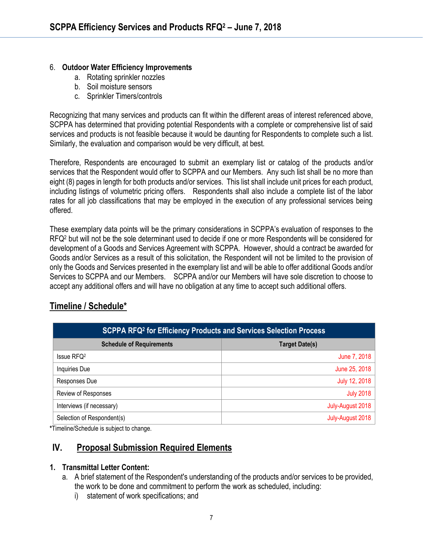#### 6. **Outdoor Water Efficiency Improvements**

- a. Rotating sprinkler nozzles
- b. Soil moisture sensors
- c. Sprinkler Timers/controls

Recognizing that many services and products can fit within the different areas of interest referenced above, SCPPA has determined that providing potential Respondents with a complete or comprehensive list of said services and products is not feasible because it would be daunting for Respondents to complete such a list. Similarly, the evaluation and comparison would be very difficult, at best.

Therefore, Respondents are encouraged to submit an exemplary list or catalog of the products and/or services that the Respondent would offer to SCPPA and our Members. Any such list shall be no more than eight (8) pages in length for both products and/or services. This list shall include unit prices for each product, including listings of volumetric pricing offers. Respondents shall also include a complete list of the labor rates for all job classifications that may be employed in the execution of any professional services being offered.

These exemplary data points will be the primary considerations in SCPPA's evaluation of responses to the RFQ<sup>2</sup> but will not be the sole determinant used to decide if one or more Respondents will be considered for development of a Goods and Services Agreement with SCPPA. However, should a contract be awarded for Goods and/or Services as a result of this solicitation, the Respondent will not be limited to the provision of only the Goods and Services presented in the exemplary list and will be able to offer additional Goods and/or Services to SCPPA and our Members. SCPPA and/or our Members will have sole discretion to choose to accept any additional offers and will have no obligation at any time to accept such additional offers.

# **Timeline / Schedule\***

| SCPPA RFQ <sup>2</sup> for Efficiency Products and Services Selection Process |                       |
|-------------------------------------------------------------------------------|-----------------------|
| <b>Schedule of Requirements</b>                                               | <b>Target Date(s)</b> |
| Issue RFQ <sup>2</sup>                                                        | June 7, 2018          |
| Inquiries Due                                                                 | June 25, 2018         |
| Responses Due                                                                 | July 12, 2018         |
| Review of Responses                                                           | <b>July 2018</b>      |
| Interviews (if necessary)                                                     | July-August 2018      |
| Selection of Respondent(s)                                                    | July-August 2018      |

**\***Timeline/Schedule is subject to change.

# **IV. Proposal Submission Required Elements**

#### **1. Transmittal Letter Content:**

- a. A brief statement of the Respondent's understanding of the products and/or services to be provided, the work to be done and commitment to perform the work as scheduled, including:
	- i) statement of work specifications; and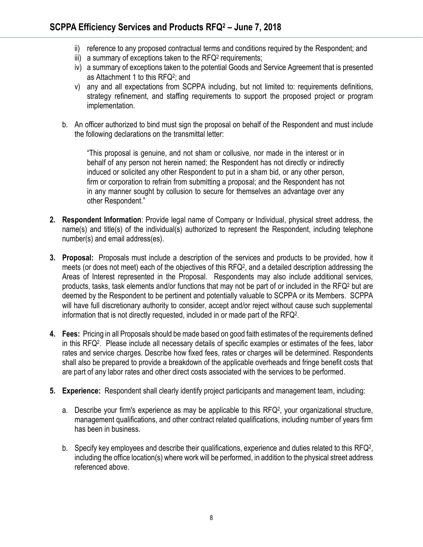- ii) reference to any proposed contractual terms and conditions required by the Respondent; and
- iii) a summary of exceptions taken to the RFQ<sup>2</sup> requirements;
- iv) a summary of exceptions taken to the potential Goods and Service Agreement that is presented as Attachment 1 to this RFQ<sup>2</sup> ; and
- v) any and all expectations from SCPPA including, but not limited to: requirements definitions, strategy refinement, and staffing requirements to support the proposed project or program implementation.
- b. An officer authorized to bind must sign the proposal on behalf of the Respondent and must include the following declarations on the transmittal letter:

"This proposal is genuine, and not sham or collusive, nor made in the interest or in behalf of any person not herein named; the Respondent has not directly or indirectly induced or solicited any other Respondent to put in a sham bid, or any other person, firm or corporation to refrain from submitting a proposal; and the Respondent has not in any manner sought by collusion to secure for themselves an advantage over any other Respondent."

- **2. Respondent Information**: Provide legal name of Company or Individual, physical street address, the name(s) and title(s) of the individual(s) authorized to represent the Respondent, including telephone number(s) and email address(es).
- **3. Proposal:** Proposals must include a description of the services and products to be provided, how it meets (or does not meet) each of the objectives of this RFQ<sup>2</sup>, and a detailed description addressing the Areas of Interest represented in the Proposal. Respondents may also include additional services, products, tasks, task elements and/or functions that may not be part of or included in the RFQ<sup>2</sup> but are deemed by the Respondent to be pertinent and potentially valuable to SCPPA or its Members. SCPPA will have full discretionary authority to consider, accept and/or reject without cause such supplemental information that is not directly requested, included in or made part of the RFQ<sup>2</sup> .
- **4. Fees:** Pricing in all Proposals should be made based on good faith estimates of the requirements defined in this RFQ<sup>2</sup> . Please include all necessary details of specific examples or estimates of the fees, labor rates and service charges. Describe how fixed fees, rates or charges will be determined. Respondents shall also be prepared to provide a breakdown of the applicable overheads and fringe benefit costs that are part of any labor rates and other direct costs associated with the services to be performed.
- **5. Experience:** Respondent shall clearly identify project participants and management team, including:
	- a. Describe your firm's experience as may be applicable to this RFQ<sup>2</sup>, your organizational structure, management qualifications, and other contract related qualifications, including number of years firm has been in business.
	- b. Specify key employees and describe their qualifications, experience and duties related to this RFQ<sup>2</sup>, including the office location(s) where work will be performed, in addition to the physical street address referenced above.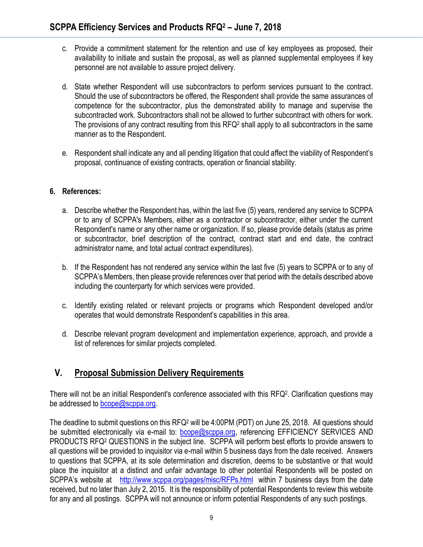- c. Provide a commitment statement for the retention and use of key employees as proposed, their availability to initiate and sustain the proposal, as well as planned supplemental employees if key personnel are not available to assure project delivery.
- d. State whether Respondent will use subcontractors to perform services pursuant to the contract. Should the use of subcontractors be offered, the Respondent shall provide the same assurances of competence for the subcontractor, plus the demonstrated ability to manage and supervise the subcontracted work. Subcontractors shall not be allowed to further subcontract with others for work. The provisions of any contract resulting from this RFQ<sup>2</sup> shall apply to all subcontractors in the same manner as to the Respondent.
- e. Respondent shall indicate any and all pending litigation that could affect the viability of Respondent's proposal, continuance of existing contracts, operation or financial stability.

#### **6. References:**

- a. Describe whether the Respondent has, within the last five (5) years, rendered any service to SCPPA or to any of SCPPA's Members, either as a contractor or subcontractor, either under the current Respondent's name or any other name or organization. If so, please provide details (status as prime or subcontractor, brief description of the contract, contract start and end date, the contract administrator name, and total actual contract expenditures).
- b. If the Respondent has not rendered any service within the last five (5) years to SCPPA or to any of SCPPA's Members, then please provide references over that period with the details described above including the counterparty for which services were provided.
- c. Identify existing related or relevant projects or programs which Respondent developed and/or operates that would demonstrate Respondent's capabilities in this area.
- d. Describe relevant program development and implementation experience, approach, and provide a list of references for similar projects completed.

# **V. Proposal Submission Delivery Requirements**

There will not be an initial Respondent's conference associated with this RFQ<sup>2</sup>. Clarification questions may be addressed to [bcope@scppa.org.](mailto:bcope@scppa.org)

The deadline to submit questions on this RFQ<sup>2</sup> will be 4:00PM (PDT) on June 25, 2018. All questions should be submitted electronically via e-mail to: **bcope@scppa.org**, referencing EFFICIENCY SERVICES AND PRODUCTS RFQ<sup>2</sup> QUESTIONS in the subject line. SCPPA will perform best efforts to provide answers to all questions will be provided to inquisitor via e-mail within 5 business days from the date received. Answers to questions that SCPPA, at its sole determination and discretion, deems to be substantive or that would place the inquisitor at a distinct and unfair advantage to other potential Respondents will be posted on SCPPA's website at <http://www.scppa.org/pages/misc/RFPs.html>within 7 business days from the date received, but no later than July 2, 2015. It is the responsibility of potential Respondents to review this website for any and all postings. SCPPA will not announce or inform potential Respondents of any such postings.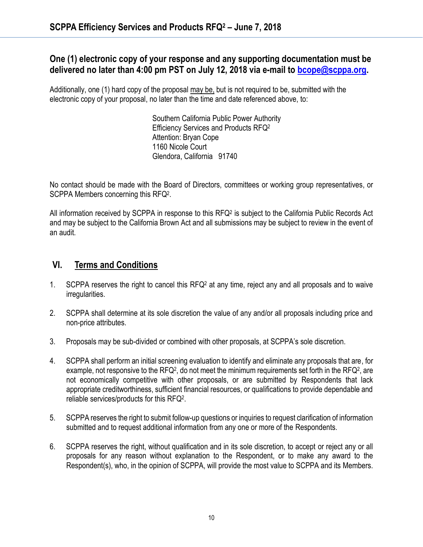## **One (1) electronic copy of your response and any supporting documentation must be delivered no later than 4:00 pm PST on July 12, 2018 via e-mail to [bcope@scppa.org.](bcope@scppa.org)**

Additionally, one (1) hard copy of the proposal may be, but is not required to be, submitted with the electronic copy of your proposal, no later than the time and date referenced above, to:

> Southern California Public Power Authority Efficiency Services and Products RFQ<sup>2</sup> Attention: Bryan Cope 1160 Nicole Court Glendora, California 91740

No contact should be made with the Board of Directors, committees or working group representatives, or SCPPA Members concerning this RFQ<sup>2</sup>.

All information received by SCPPA in response to this RFQ<sup>2</sup> is subject to the California Public Records Act and may be subject to the California Brown Act and all submissions may be subject to review in the event of an audit.

# **VI. Terms and Conditions**

- 1. SCPPA reserves the right to cancel this RFQ<sup>2</sup> at any time, reject any and all proposals and to waive irregularities.
- 2. SCPPA shall determine at its sole discretion the value of any and/or all proposals including price and non-price attributes.
- 3. Proposals may be sub-divided or combined with other proposals, at SCPPA's sole discretion.
- 4. SCPPA shall perform an initial screening evaluation to identify and eliminate any proposals that are, for example, not responsive to the RFQ<sup>2</sup>, do not meet the minimum requirements set forth in the RFQ<sup>2</sup>, are not economically competitive with other proposals, or are submitted by Respondents that lack appropriate creditworthiness, sufficient financial resources, or qualifications to provide dependable and reliable services/products for this RFQ<sup>2</sup> .
- 5. SCPPA reserves the right to submit follow-up questions or inquiries to request clarification of information submitted and to request additional information from any one or more of the Respondents.
- 6. SCPPA reserves the right, without qualification and in its sole discretion, to accept or reject any or all proposals for any reason without explanation to the Respondent, or to make any award to the Respondent(s), who, in the opinion of SCPPA, will provide the most value to SCPPA and its Members.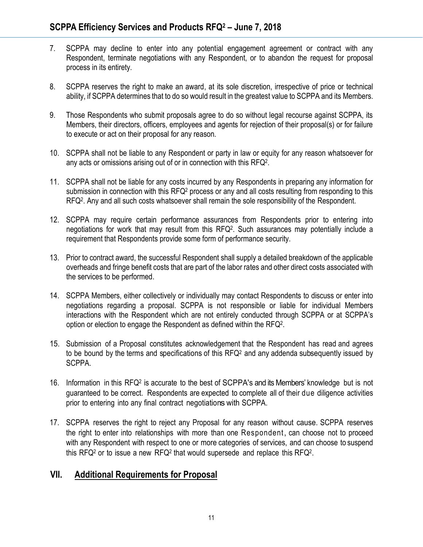- 7. SCPPA may decline to enter into any potential engagement agreement or contract with any Respondent, terminate negotiations with any Respondent, or to abandon the request for proposal process in its entirety.
- 8. SCPPA reserves the right to make an award, at its sole discretion, irrespective of price or technical ability, if SCPPA determines that to do so would result in the greatest value to SCPPA and its Members.
- 9. Those Respondents who submit proposals agree to do so without legal recourse against SCPPA, its Members, their directors, officers, employees and agents for rejection of their proposal(s) or for failure to execute or act on their proposal for any reason.
- 10. SCPPA shall not be liable to any Respondent or party in law or equity for any reason whatsoever for any acts or omissions arising out of or in connection with this RFQ<sup>2</sup> .
- 11. SCPPA shall not be liable for any costs incurred by any Respondents in preparing any information for submission in connection with this RFQ<sup>2</sup> process or any and all costs resulting from responding to this RFQ<sup>2</sup> . Any and all such costs whatsoever shall remain the sole responsibility of the Respondent.
- 12. SCPPA may require certain performance assurances from Respondents prior to entering into negotiations for work that may result from this RFQ<sup>2</sup> . Such assurances may potentially include a requirement that Respondents provide some form of performance security.
- 13. Prior to contract award, the successful Respondent shall supply a detailed breakdown of the applicable overheads and fringe benefit costs that are part of the labor rates and other direct costs associated with the services to be performed.
- 14. SCPPA Members, either collectively or individually may contact Respondents to discuss or enter into negotiations regarding a proposal. SCPPA is not responsible or liable for individual Members interactions with the Respondent which are not entirely conducted through SCPPA or at SCPPA's option or election to engage the Respondent as defined within the RFQ<sup>2</sup> .
- 15. Submission of a Proposal constitutes acknowledgement that the Respondent has read and agrees to be bound by the terms and specifications of this  $RFQ<sup>2</sup>$  and any addenda subsequently issued by SCPPA.
- 16. Information in this RFQ<sup>2</sup> is accurate to the best of SCPPA's and its Members' knowledge but is not guaranteed to be correct. Respondents are expected to complete all of their due diligence activities prior to entering into any final contract negotiations with SCPPA.
- 17. SCPPA reserves the right to reject any Proposal for any reason without cause. SCPPA reserves the right to enter into relationships with more than one Respondent, can choose not to proceed with any Respondent with respect to one or more categories of services, and can choose to suspend this RFQ<sup>2</sup> or to issue a new RFQ<sup>2</sup> that would supersede and replace this RFQ<sup>2</sup>.

# **VII. Additional Requirements for Proposal**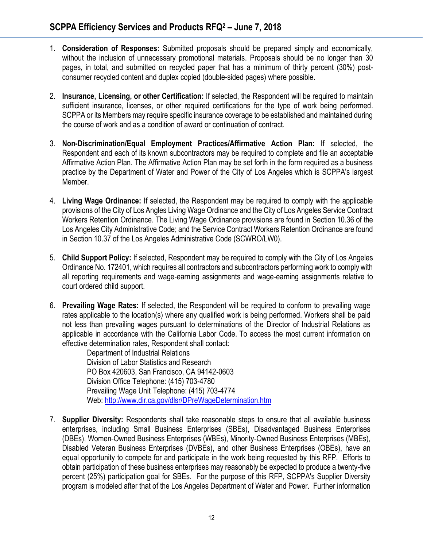- 1. **Consideration of Responses:** Submitted proposals should be prepared simply and economically, without the inclusion of unnecessary promotional materials. Proposals should be no longer than 30 pages, in total, and submitted on recycled paper that has a minimum of thirty percent (30%) postconsumer recycled content and duplex copied (double-sided pages) where possible.
- 2. **Insurance, Licensing, or other Certification:** If selected, the Respondent will be required to maintain sufficient insurance, licenses, or other required certifications for the type of work being performed. SCPPA or its Members may require specific insurance coverage to be established and maintained during the course of work and as a condition of award or continuation of contract.
- 3. **Non-Discrimination/Equal Employment Practices/Affirmative Action Plan:** If selected, the Respondent and each of its known subcontractors may be required to complete and file an acceptable Affirmative Action Plan. The Affirmative Action Plan may be set forth in the form required as a business practice by the Department of Water and Power of the City of Los Angeles which is SCPPA's largest Member.
- 4. **Living Wage Ordinance:** If selected, the Respondent may be required to comply with the applicable provisions of the City of Los Angles Living Wage Ordinance and the City of Los Angeles Service Contract Workers Retention Ordinance. The Living Wage Ordinance provisions are found in Section 10.36 of the Los Angeles City Administrative Code; and the Service Contract Workers Retention Ordinance are found in Section 10.37 of the Los Angeles Administrative Code (SCWRO/LW0).
- 5. **Child Support Policy:** If selected, Respondent may be required to comply with the City of Los Angeles Ordinance No. 172401, which requires all contractors and subcontractors performing work to comply with all reporting requirements and wage-earning assignments and wage-earning assignments relative to court ordered child support.
- 6. **Prevailing Wage Rates:** If selected, the Respondent will be required to conform to prevailing wage rates applicable to the location(s) where any qualified work is being performed. Workers shall be paid not less than prevailing wages pursuant to determinations of the Director of Industrial Relations as applicable in accordance with the California Labor Code. To access the most current information on effective determination rates, Respondent shall contact:

Department of Industrial Relations Division of Labor Statistics and Research PO Box 420603, San Francisco, CA 94142-0603 Division Office Telephone: (415) 703-4780 Prevailing Wage Unit Telephone: (415) 703-4774 Web[: http://www.dir.ca.gov/dlsr/DPreWageDetermination.htm](http://www.dir.ca.gov/dlsr/DPreWageDetermination.htm)

7. **Supplier Diversity:** Respondents shall take reasonable steps to ensure that all available business enterprises, including Small Business Enterprises (SBEs), Disadvantaged Business Enterprises (DBEs), Women-Owned Business Enterprises (WBEs), Minority-Owned Business Enterprises (MBEs), Disabled Veteran Business Enterprises (DVBEs), and other Business Enterprises (OBEs), have an equal opportunity to compete for and participate in the work being requested by this RFP. Efforts to obtain participation of these business enterprises may reasonably be expected to produce a twenty-five percent (25%) participation goal for SBEs. For the purpose of this RFP, SCPPA's Supplier Diversity program is modeled after that of the Los Angeles Department of Water and Power. Further information